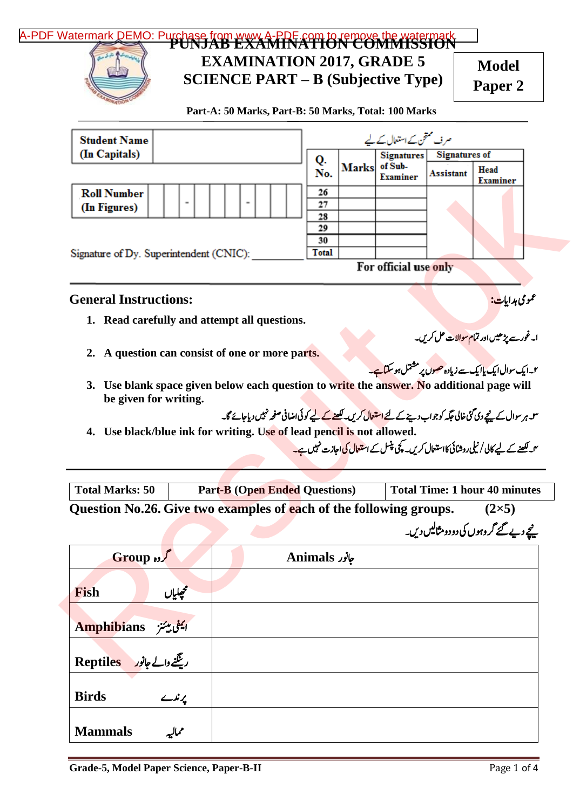## **PUNJAB EXAMINATION COMMISSION** [A-PDF Watermark DEMO: Purchase from www.A-PDF.com to remove the watermark](http://www.a-pdf.com/?wm-demo)



## **EXAMINATION 2017, GRADE 5 SCIENCE PART – B (Subjective Type)**

**Model Paper 2**

 **Part-A: 50 Marks, Part-B: 50 Marks, Total: 100 Marks**

| <b>Student Name</b>                                                                                                   |                                                                                                                                |               |              | صر ف ممتحن کے استعال کے لیے |                      |                                                                                                                            |
|-----------------------------------------------------------------------------------------------------------------------|--------------------------------------------------------------------------------------------------------------------------------|---------------|--------------|-----------------------------|----------------------|----------------------------------------------------------------------------------------------------------------------------|
| (In Capitals)                                                                                                         |                                                                                                                                | Q.            |              | <b>Signatures</b>           | <b>Signatures of</b> |                                                                                                                            |
|                                                                                                                       |                                                                                                                                | No.           | <b>Marks</b> | of Sub-<br><b>Examiner</b>  | <b>Assistant</b>     | Head<br><b>Examiner</b>                                                                                                    |
| <b>Roll Number</b>                                                                                                    |                                                                                                                                | 26            |              |                             |                      |                                                                                                                            |
| (In Figures)                                                                                                          |                                                                                                                                | 27            |              |                             |                      |                                                                                                                            |
|                                                                                                                       |                                                                                                                                | 28<br>29      |              |                             |                      |                                                                                                                            |
|                                                                                                                       |                                                                                                                                | 30            |              |                             |                      |                                                                                                                            |
| Signature of Dy. Superintendent (CNIC):                                                                               |                                                                                                                                | Total         |              |                             |                      |                                                                                                                            |
|                                                                                                                       |                                                                                                                                |               |              | For official use only       |                      |                                                                                                                            |
| <b>General Instructions:</b>                                                                                          |                                                                                                                                |               |              |                             |                      | عمومی ہدایات:                                                                                                              |
| 1. Read carefully and attempt all questions.                                                                          |                                                                                                                                |               |              |                             |                      |                                                                                                                            |
|                                                                                                                       |                                                                                                                                |               |              |                             |                      |                                                                                                                            |
|                                                                                                                       |                                                                                                                                |               |              |                             |                      | ا۔غور سے پڑھیں اور <b>تمام سوالات حل کریں۔</b>                                                                             |
| 2. A question can consist of one or more parts.                                                                       |                                                                                                                                |               |              |                             |                      | ۲۔ایک سوال ایک پ <u>اایک سے زیادہ حصوں پر</u> مشتمل ہو سکتا ہے۔                                                            |
|                                                                                                                       |                                                                                                                                |               |              |                             |                      |                                                                                                                            |
| Use blank space given below each question to write the answer. No additional page will<br>3.<br>be given for writing. |                                                                                                                                |               |              |                             |                      |                                                                                                                            |
|                                                                                                                       | س ہر سوال کے نیچے دی گئی خالی جگہ کو جواب دینے کے لئے ا <mark>ستعال کریں۔ لکھنے کے لیے کوئی اضافی صفحہ نہیں دیاجائے گا۔</mark> |               |              |                             |                      |                                                                                                                            |
| Use black/blue ink for writing. Use of lead pencil is not allowed.<br>4.                                              |                                                                                                                                |               |              |                             |                      |                                                                                                                            |
|                                                                                                                       |                                                                                                                                |               |              |                             |                      | <sup>م</sup> یں <u>لکھنے کے لی</u> ے کالی / نیلی روشائی کااستعال کریں۔ کچی پنیس کے اس <mark>تعال کی ا</mark> حازت نہیں ہے۔ |
|                                                                                                                       |                                                                                                                                |               |              |                             |                      |                                                                                                                            |
|                                                                                                                       |                                                                                                                                |               |              |                             |                      |                                                                                                                            |
| <b>Total Marks: 50</b>                                                                                                | <b>Part-B (Open Ended Questions)</b>                                                                                           |               |              |                             |                      | <b>Total Time: 1 hour 40 minutes</b>                                                                                       |
| Question No.26. Give two examples of each of the following groups.                                                    |                                                                                                                                |               |              |                             |                      | $(2\times5)$                                                                                                               |
|                                                                                                                       |                                                                                                                                |               |              |                             |                      | یعجے دیے گئے گر وہوں کی دو دومثالیں دیں۔                                                                                   |
| Sroup of                                                                                                              |                                                                                                                                | Animals جانور |              |                             |                      |                                                                                                                            |
| محملياں<br>Fish                                                                                                       |                                                                                                                                |               |              |                             |                      |                                                                                                                            |
| <b>Amphibians</b><br>ايمفى ميئنز                                                                                      |                                                                                                                                |               |              |                             |                      |                                                                                                                            |
|                                                                                                                       |                                                                                                                                |               |              |                             |                      |                                                                                                                            |
| ر<br>تنظیفے والے جانور Reptiles                                                                                       |                                                                                                                                |               |              |                             |                      |                                                                                                                            |

- **2. A question can consist of one or more parts.**
- ۲۔ایک سوال ایک یاایک سے زیادہ حصوں پر مشتمل ہو سکتاہے۔ **3. Use blank space given below each question to write the answer. No additional page will be given for writing.**

| <b>Total Marks: 50</b> |  | <b>Part-B (Open Ended Questions)</b>                              | <b>Total Time: 1 hour 40 minutes</b> |
|------------------------|--|-------------------------------------------------------------------|--------------------------------------|
|                        |  | Question No. 26 Give two examples of each of the following groups | $(2 \times 5)$                       |

| Sroup of                     | Animals جانور |
|------------------------------|---------------|
|                              |               |
| محهلياں<br><b>Fish</b>       |               |
| <b>Amphibians</b> ایمفی پیئز |               |
| رینگنے والے جانور Reptiles   |               |
| <b>Birds</b><br>پرندے        |               |
| <b>Mammals</b><br>تماليه     |               |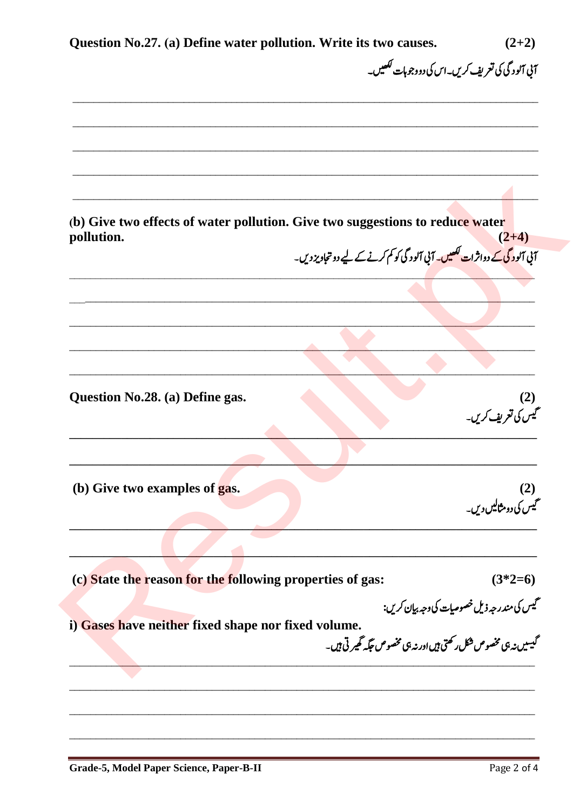| Question No.27. (a) Define water pollution. Write its two causes.                                                                 | $(2+2)$                                         |
|-----------------------------------------------------------------------------------------------------------------------------------|-------------------------------------------------|
|                                                                                                                                   | آنی آلود گی کی تعریف کریں۔اس کی دووجوہات لکھیں۔ |
|                                                                                                                                   |                                                 |
|                                                                                                                                   |                                                 |
|                                                                                                                                   |                                                 |
|                                                                                                                                   |                                                 |
| (b) Give two effects of water pollution. Give two suggestions to reduce water<br>pollution.                                       | $(2+4)$                                         |
| ۔<br>آئی آلود گی کے دواثرات <del>لکھیں</del> ۔ آئی آلود گی کو کم کرنے کے لیے دو تجاویز دیں۔                                       |                                                 |
|                                                                                                                                   |                                                 |
|                                                                                                                                   |                                                 |
|                                                                                                                                   |                                                 |
|                                                                                                                                   |                                                 |
| Question No.28. (a) Define gas.                                                                                                   |                                                 |
|                                                                                                                                   | (2)<br>گیس کی تعریف کریں۔                       |
|                                                                                                                                   |                                                 |
| (b) Give two examples of gas.                                                                                                     |                                                 |
|                                                                                                                                   | (2)<br>گیس کی دومثالیں دیں۔                     |
|                                                                                                                                   |                                                 |
| (c) State the reason for the following properties of gas:                                                                         | $(3*2=6)$                                       |
|                                                                                                                                   | گیس کی مندر جہ ذیل خصوصیات کی وجہ بیان کریں:    |
| olume.<br>گیسیں نہ ہی مخصوص شکل رکھتی ہیں اور نہ ہی مخصوص جگہ تھیر تی ہیں۔<br>i) Gases have neither fixed shape nor fixed volume. |                                                 |
|                                                                                                                                   |                                                 |
|                                                                                                                                   |                                                 |
|                                                                                                                                   |                                                 |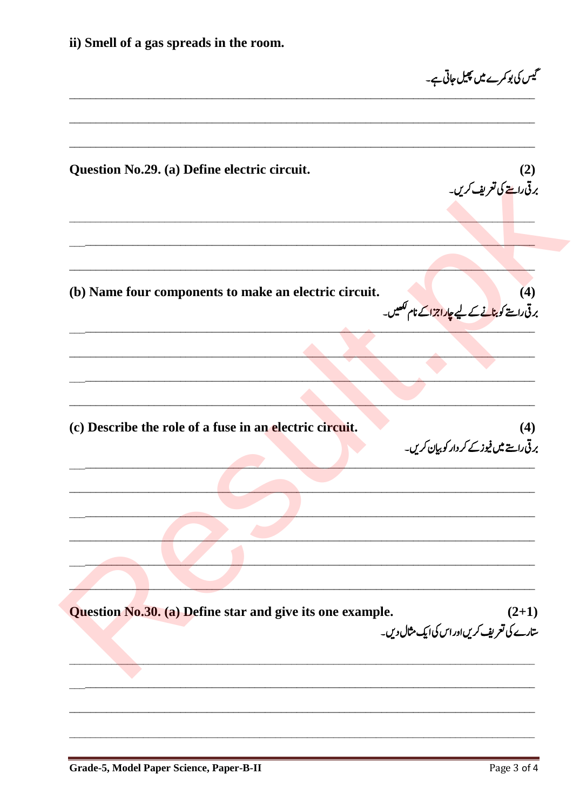ii) Smell of a gas spreads in the room. گیس کی بو کمرے میں پھیل جاتی ہے۔ Question No.29. (a) Define electric circuit.  $(2)$ برقی راستے کی تعریف کریں۔ (b) Name four components to make an electric circuit.  $(4)$ برقی راستے کو بن<mark>انے کے لیے چاراجزاکے نام لکھیں۔</mark> (c) Describe the role of a fuse in an electric circuit.  $(4)$ بر قی راستے میں فیوز کے کر دار کو بیان کریں۔ Question No.30. (a) Define star and give its one example.  $(2+1)$ ۔<br>سارے کی تعریف کریںاور اس کی ایک مثال دیں۔